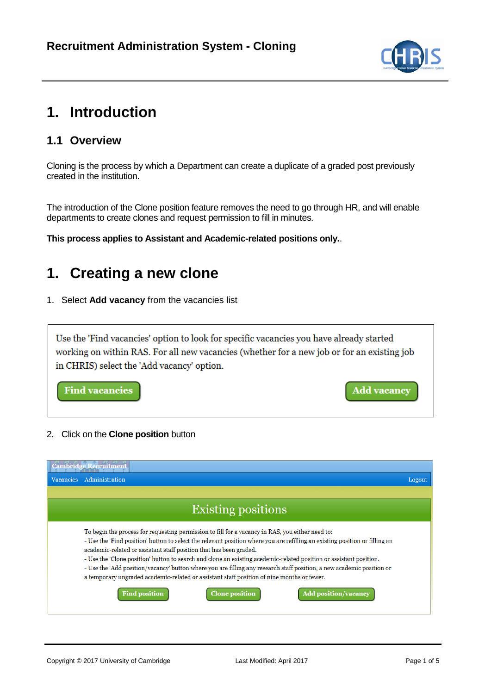

## **1. Introduction**

#### **1.1 Overview**

Cloning is the process by which a Department can create a duplicate of a graded post previously created in the institution.

The introduction of the Clone position feature removes the need to go through HR, and will enable departments to create clones and request permission to fill in minutes.

**This process applies to Assistant and Academic-related positions only.**.

## **1. Creating a new clone**

1. Select **Add vacancy** from the vacancies list

Use the 'Find vacancies' option to look for specific vacancies you have already started working on within RAS. For all new vacancies (whether for a new job or for an existing job in CHRIS) select the 'Add vacancy' option.

**Find vacancies** 

#### 2. Click on the **Clone position** button

| <b>Cambridge Recruitment</b>                                                                                                                                                                                                                                                                                                                                                                                                                                                                                                                                                                                                                                                                                                       |        |
|------------------------------------------------------------------------------------------------------------------------------------------------------------------------------------------------------------------------------------------------------------------------------------------------------------------------------------------------------------------------------------------------------------------------------------------------------------------------------------------------------------------------------------------------------------------------------------------------------------------------------------------------------------------------------------------------------------------------------------|--------|
| Vacancies Administration                                                                                                                                                                                                                                                                                                                                                                                                                                                                                                                                                                                                                                                                                                           | Logout |
| <b>Existing positions</b>                                                                                                                                                                                                                                                                                                                                                                                                                                                                                                                                                                                                                                                                                                          |        |
| To begin the process for requesting permission to fill for a vacancy in RAS, you either need to:<br>- Use the 'Find position' button to select the relevant position where you are refilling an existing position or filling an<br>academic-related or assistant staff position that has been graded.<br>- Use the 'Clone position' button to search and clone an existing acedemic-related position or assistant position.<br>- Use the 'Add position/vacancy' button where you are filling any research staff position, a new academic position or<br>a temporary ungraded academic-related or assistant staff position of nine months or fewer.<br><b>Add position/vacancy</b><br><b>Find position</b><br><b>Clone position</b> |        |

**Add vacancy**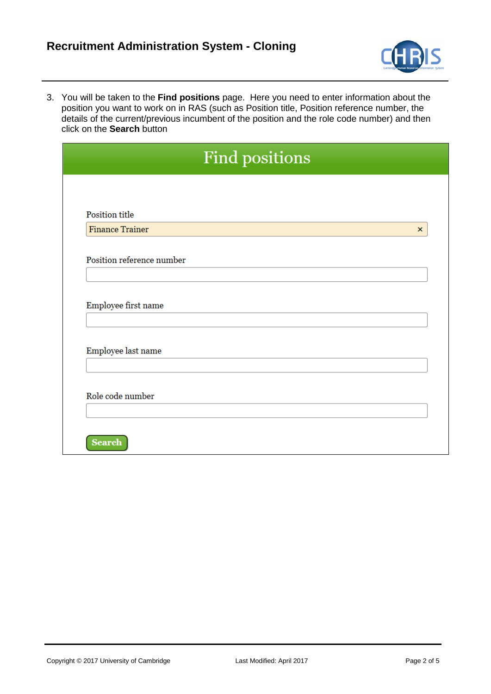

3. You will be taken to the **Find positions** page. Here you need to enter information about the position you want to work on in RAS (such as Position title, Position reference number, the details of the current/previous incumbent of the position and the role code number) and then click on the **Search** button

| <b>Position title</b>     |  |                           |
|---------------------------|--|---------------------------|
| <b>Finance Trainer</b>    |  | $\boldsymbol{\mathsf{x}}$ |
|                           |  |                           |
| Position reference number |  |                           |
|                           |  |                           |
| Employee first name       |  |                           |
|                           |  |                           |
|                           |  |                           |
| Employee last name        |  |                           |
|                           |  |                           |
| Role code number          |  |                           |
|                           |  |                           |
|                           |  |                           |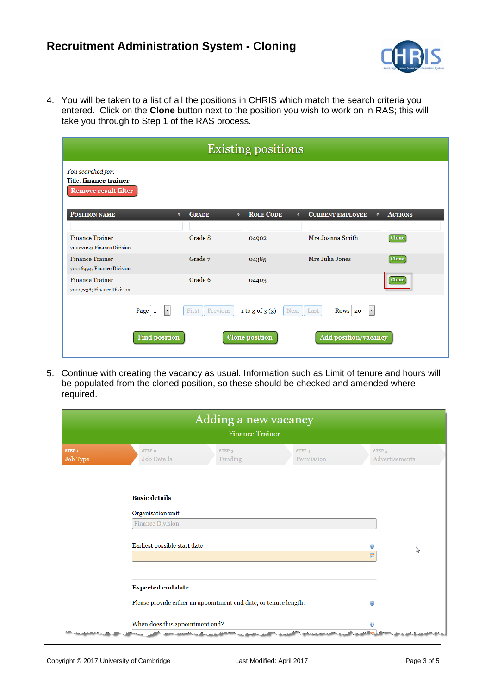

4. You will be taken to a list of all the positions in CHRIS which match the search criteria you entered. Click on the **Clone** button next to the position you wish to work on in RAS; this will take you through to Step 1 of the RAS process.

|                                                                            |                                |                   | <b>Existing positions</b>  |               |                                   |                |
|----------------------------------------------------------------------------|--------------------------------|-------------------|----------------------------|---------------|-----------------------------------|----------------|
| You searched for:<br>Title: finance trainer<br><b>Remove result filter</b> |                                |                   |                            |               |                                   |                |
| <b>POSITION NAME</b>                                                       | $\div$                         | <b>GRADE</b>      | <b>ROLE CODE</b><br>$\div$ | $\Rightarrow$ | <b>CURRENT EMPLOYEE</b><br>$\div$ | <b>ACTIONS</b> |
| <b>Finance Trainer</b><br>70022014; Finance Division                       |                                | Grade 8           | 04902                      |               | Mrs Joanna Smith                  | <b>Clone</b>   |
| <b>Finance Trainer</b><br>70016994; Finance Division                       |                                | Grade 7           | 04385                      |               | Mrs Julia Jones                   | (Clone)        |
| <b>Finance Trainer</b><br>70017238; Finance Division                       |                                | Grade 6           | 04403                      |               |                                   | <b>Clone</b>   |
|                                                                            | Page 1<br>$\blacktriangledown$ | First<br>Previous | 1 to 3 of 3 (3)            | Last<br>Next  | Rows   20<br>$\blacktriangledown$ |                |
|                                                                            | <b>Find position</b>           |                   | <b>Clone position</b>      |               | <b>Add position/vacancy</b>       |                |

5. Continue with creating the vacancy as usual. Information such as Limit of tenure and hours will be populated from the cloned position, so these should be checked and amended where required.

|                               |                                              | Adding a new vacancy<br><b>Finance Trainer</b>                   |                      |                                     |   |
|-------------------------------|----------------------------------------------|------------------------------------------------------------------|----------------------|-------------------------------------|---|
| STEP <sub>1</sub><br>Job Type | STEP <sub>2</sub><br><b>Job Details</b>      | STEP <sub>3</sub><br>Funding                                     | STEP 4<br>Permission | STEP <sub>5</sub><br>Advertisements |   |
|                               | <b>Basic details</b>                         |                                                                  |                      |                                     |   |
|                               | Organisation unit<br><b>Finance Division</b> |                                                                  |                      |                                     |   |
|                               | Earliest possible start date                 |                                                                  |                      | $\boldsymbol{\Theta}$               |   |
|                               |                                              |                                                                  |                      | 圜                                   | P |
|                               |                                              |                                                                  |                      |                                     |   |
|                               | <b>Expected end date</b>                     | Please provide either an appointment end date, or tenure length. |                      |                                     |   |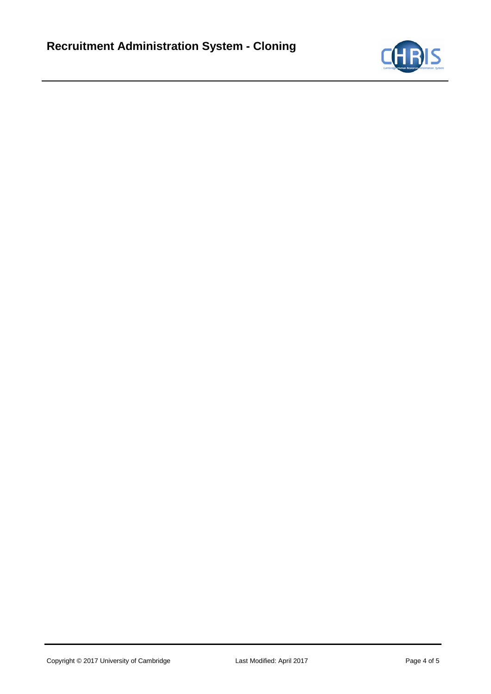